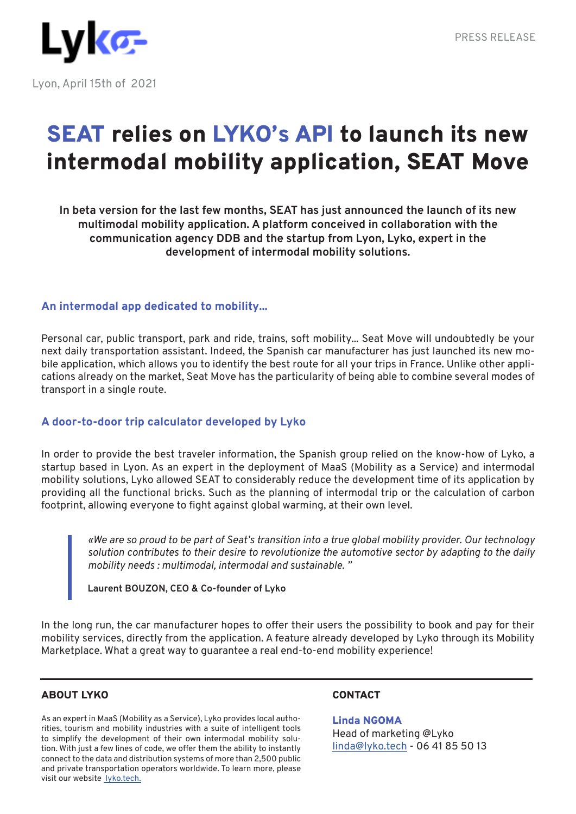# SEAT relies on LYKO's API to launch its new intermodal mobility application, SEAT Move

**In beta version for the last few months, SEAT has just announced the launch of its new multimodal mobility application. A platform conceived in collaboration with the communication agency DDB and the startup from Lyon, Lyko, expert in the development of intermodal mobility solutions.**

## **An intermodal app dedicated to mobility...**

Personal car, public transport, park and ride, trains, soft mobility... Seat Move will undoubtedly be your next daily transportation assistant. Indeed, the Spanish car manufacturer has just launched its new mobile application, which allows you to identify the best route for all your trips in France. Unlike other applications already on the market, Seat Move has the particularity of being able to combine several modes of transport in a single route.

## **A door-to-door trip calculator developed by Lyko**

In order to provide the best traveler information, the Spanish group relied on the know-how of Lyko, a startup based in Lyon. As an expert in the deployment of MaaS (Mobility as a Service) and intermodal mobility solutions, Lyko allowed SEAT to considerably reduce the development time of its application by providing all the functional bricks. Such as the planning of intermodal trip or the calculation of carbon footprint, allowing everyone to fight against global warming, at their own level.

*«We are so proud to be part of Seat's transition into a true global mobility provider. Our technology solution contributes to their desire to revolutionize the automotive sector by adapting to the daily mobility needs : multimodal, intermodal and sustainable. "*

**Laurent BOUZON, CEO & Co-founder of Lyko**

In the long run, the car manufacturer hopes to offer their users the possibility to book and pay for their mobility services, directly from the application. A feature already developed by Lyko through its Mobility Marketplace. What a great way to guarantee a real end-to-end mobility experience!

## ABOUT LYKO

As an expert in MaaS (Mobility as a Service), Lyko provides local authorities, tourism and mobility industries with a suite of intelligent tools to simplify the development of their own intermodal mobility solution. With just a few lines of code, we offer them the ability to instantly connect to the data and distribution systems of more than 2,500 public and private transportation operators worldwide. To learn more, please visit our website lyko.tech.

## **CONTACT**

Linda NGOMA Head of marketing @Lyko linda@lyko.tech - 06 41 85 50 13